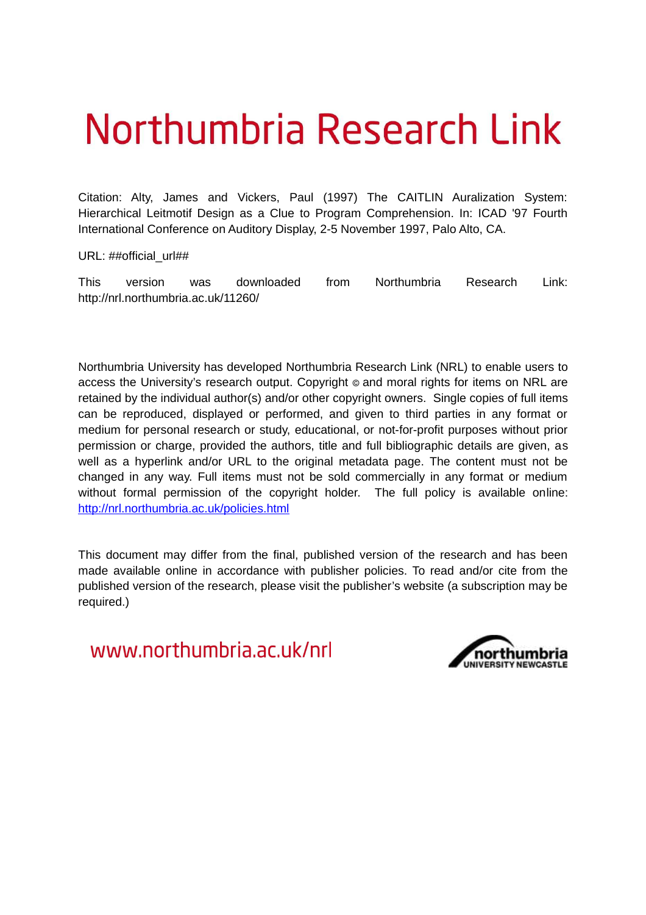# Northumbria Research Link

Citation: Alty, James and Vickers, Paul (1997) The CAITLIN Auralization System: Hierarchical Leitmotif Design as a Clue to Program Comprehension. In: ICAD '97 Fourth International Conference on Auditory Display, 2-5 November 1997, Palo Alto, CA.

URL: ##official\_url##

This version was downloaded from Northumbria Research Link: http://nrl.northumbria.ac.uk/11260/

Northumbria University has developed Northumbria Research Link (NRL) to enable users to access the University's research output. Copyright  $\circ$  and moral rights for items on NRL are retained by the individual author(s) and/or other copyright owners. Single copies of full items can be reproduced, displayed or performed, and given to third parties in any format or medium for personal research or study, educational, or not-for-profit purposes without prior permission or charge, provided the authors, title and full bibliographic details are given, as well as a hyperlink and/or URL to the original metadata page. The content must not be changed in any way. Full items must not be sold commercially in any format or medium without formal permission of the copyright holder. The full policy is available online: <http://nrl.northumbria.ac.uk/policies.html>

This document may differ from the final, published version of the research and has been made available online in accordance with publisher policies. To read and/or cite from the published version of the research, please visit the publisher's website (a subscription may be required.)

www.northumbria.ac.uk/nrl

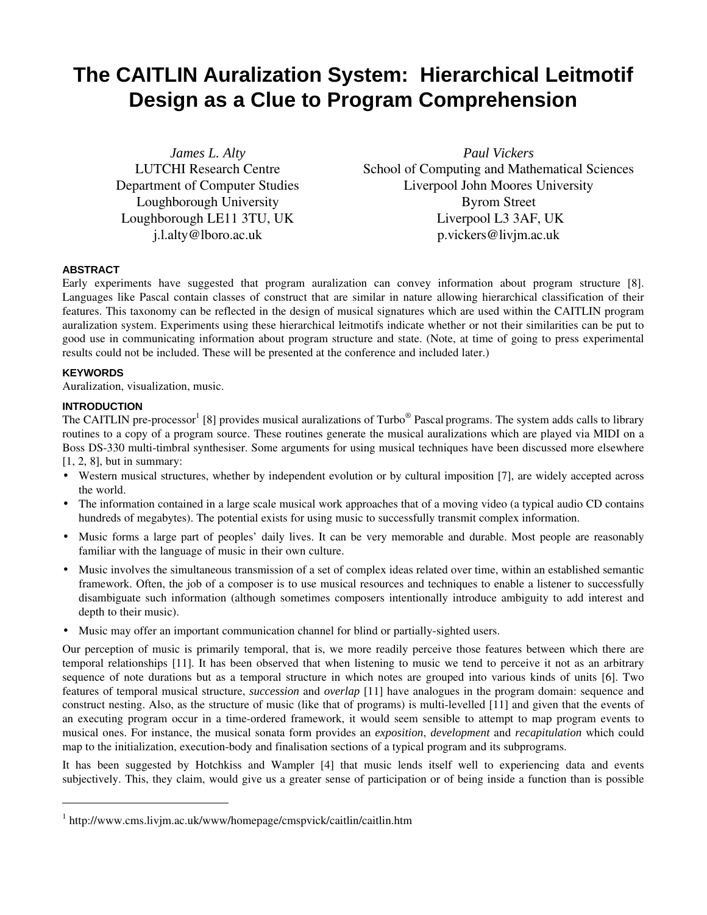# **The CAITLIN Auralization System: Hierarchical Leitmotif Design as a Clue to Program Comprehension**

*James L. Alty* LUTCHI Research Centre Department of Computer Studies Loughborough University Loughborough LE11 3TU, UK j.l.alty@lboro.ac.uk

*Paul Vickers* School of Computing and Mathematical Sciences Liverpool John Moores University Byrom Street Liverpool L3 3AF, UK p.vickers@livjm.ac.uk

# **ABSTRACT**

Early experiments have suggested that program auralization can convey information about program structure [8]. Languages like Pascal contain classes of construct that are similar in nature allowing hierarchical classification of their features. This taxonomy can be reflected in the design of musical signatures which are used within the CAITLIN program auralization system. Experiments using these hierarchical leitmotifs indicate whether or not their similarities can be put to good use in communicating information about program structure and state. (Note, at time of going to press experimental results could not be included. These will be presented at the conference and included later.)

#### **KEYWORDS**

 $\overline{a}$ 

Auralization, visualization, music.

# **INTRODUCTION**

The CAITLIN pre-processor<sup>1</sup> [8] provides musical auralizations of Turbo® Pascal programs. The system adds calls to library routines to a copy of a program source. These routines generate the musical auralizations which are played via MIDI on a Boss DS-330 multi-timbral synthesiser. Some arguments for using musical techniques have been discussed more elsewhere [1, 2, 8], but in summary:

• Western musical structures, whether by independent evolution or by cultural imposition [7], are widely accepted across the world.

- The information contained in a large scale musical work approaches that of a moving video (a typical audio CD contains hundreds of megabytes). The potential exists for using music to successfully transmit complex information.
- Music forms a large part of peoples' daily lives. It can be very memorable and durable. Most people are reasonably familiar with the language of music in their own culture.
- Music involves the simultaneous transmission of a set of complex ideas related over time, within an established semantic framework. Often, the job of a composer is to use musical resources and techniques to enable a listener to successfully disambiguate such information (although sometimes composers intentionally introduce ambiguity to add interest and depth to their music).
- Music may offer an important communication channel for blind or partially-sighted users.

Our perception of music is primarily temporal, that is, we more readily perceive those features between which there are temporal relationships [11]. It has been observed that when listening to music we tend to perceive it not as an arbitrary sequence of note durations but as a temporal structure in which notes are grouped into various kinds of units [6]. Two features of temporal musical structure, *succession* and *overlap* [11] have analogues in the program domain: sequence and construct nesting. Also, as the structure of music (like that of programs) is multi-levelled [11] and given that the events of an executing program occur in a time-ordered framework, it would seem sensible to attempt to map program events to musical ones. For instance, the musical sonata form provides an *exposition*, *development* and *recapitulation* which could map to the initialization, execution-body and finalisation sections of a typical program and its subprograms.

It has been suggested by Hotchkiss and Wampler [4] that music lends itself well to experiencing data and events subjectively. This, they claim, would give us a greater sense of participation or of being inside a function than is possible

<sup>1</sup> http://www.cms.livjm.ac.uk/www/homepage/cmspvick/caitlin/caitlin.htm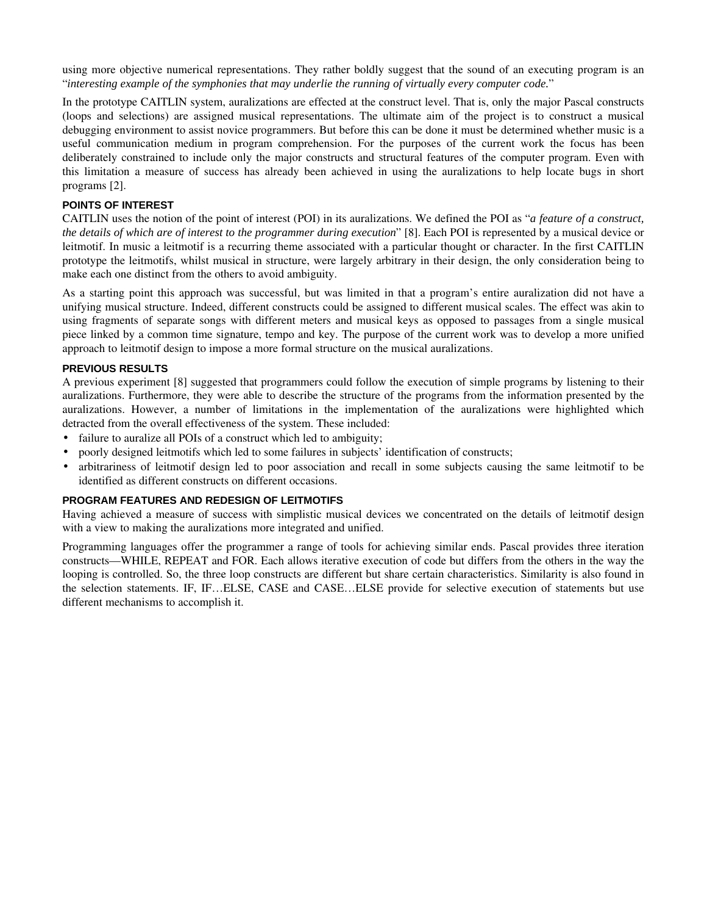using more objective numerical representations. They rather boldly suggest that the sound of an executing program is an "*interesting example of the symphonies that may underlie the running of virtually every computer code.*"

In the prototype CAITLIN system, auralizations are effected at the construct level. That is, only the major Pascal constructs (loops and selections) are assigned musical representations. The ultimate aim of the project is to construct a musical debugging environment to assist novice programmers. But before this can be done it must be determined whether music is a useful communication medium in program comprehension. For the purposes of the current work the focus has been deliberately constrained to include only the major constructs and structural features of the computer program. Even with this limitation a measure of success has already been achieved in using the auralizations to help locate bugs in short programs [2].

# **POINTS OF INTEREST**

CAITLIN uses the notion of the point of interest (POI) in its auralizations. We defined the POI as "*a feature of a construct, the details of which are of interest to the programmer during execution*" [8]. Each POI is represented by a musical device or leitmotif. In music a leitmotif is a recurring theme associated with a particular thought or character. In the first CAITLIN prototype the leitmotifs, whilst musical in structure, were largely arbitrary in their design, the only consideration being to make each one distinct from the others to avoid ambiguity.

As a starting point this approach was successful, but was limited in that a program's entire auralization did not have a unifying musical structure. Indeed, different constructs could be assigned to different musical scales. The effect was akin to using fragments of separate songs with different meters and musical keys as opposed to passages from a single musical piece linked by a common time signature, tempo and key. The purpose of the current work was to develop a more unified approach to leitmotif design to impose a more formal structure on the musical auralizations.

# **PREVIOUS RESULTS**

A previous experiment [8] suggested that programmers could follow the execution of simple programs by listening to their auralizations. Furthermore, they were able to describe the structure of the programs from the information presented by the auralizations. However, a number of limitations in the implementation of the auralizations were highlighted which detracted from the overall effectiveness of the system. These included:

- failure to auralize all POIs of a construct which led to ambiguity;
- poorly designed leitmotifs which led to some failures in subjects' identification of constructs;
- arbitrariness of leitmotif design led to poor association and recall in some subjects causing the same leitmotif to be identified as different constructs on different occasions.

#### **PROGRAM FEATURES AND REDESIGN OF LEITMOTIFS**

Having achieved a measure of success with simplistic musical devices we concentrated on the details of leitmotif design with a view to making the auralizations more integrated and unified.

Programming languages offer the programmer a range of tools for achieving similar ends. Pascal provides three iteration constructs—WHILE, REPEAT and FOR. Each allows iterative execution of code but differs from the others in the way the looping is controlled. So, the three loop constructs are different but share certain characteristics. Similarity is also found in the selection statements. IF, IF…ELSE, CASE and CASE…ELSE provide for selective execution of statements but use different mechanisms to accomplish it.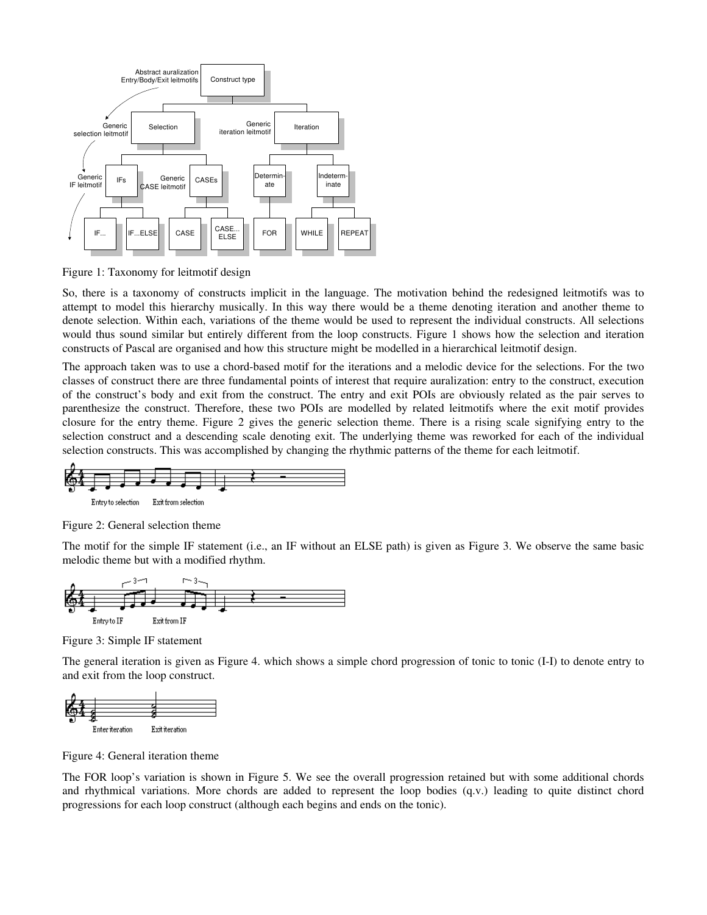

Figure 1: Taxonomy for leitmotif design

So, there is a taxonomy of constructs implicit in the language. The motivation behind the redesigned leitmotifs was to attempt to model this hierarchy musically. In this way there would be a theme denoting iteration and another theme to denote selection. Within each, variations of the theme would be used to represent the individual constructs. All selections would thus sound similar but entirely different from the loop constructs. Figure 1 shows how the selection and iteration constructs of Pascal are organised and how this structure might be modelled in a hierarchical leitmotif design.

The approach taken was to use a chord-based motif for the iterations and a melodic device for the selections. For the two classes of construct there are three fundamental points of interest that require auralization: entry to the construct, execution of the construct's body and exit from the construct. The entry and exit POIs are obviously related as the pair serves to parenthesize the construct. Therefore, these two POIs are modelled by related leitmotifs where the exit motif provides closure for the entry theme. Figure 2 gives the generic selection theme. There is a rising scale signifying entry to the selection construct and a descending scale denoting exit. The underlying theme was reworked for each of the individual selection constructs. This was accomplished by changing the rhythmic patterns of the theme for each leitmotif.



Figure 2: General selection theme

The motif for the simple IF statement (i.e., an IF without an ELSE path) is given as Figure 3. We observe the same basic melodic theme but with a modified rhythm.



Figure 3: Simple IF statement

The general iteration is given as Figure 4. which shows a simple chord progression of tonic to tonic (I-I) to denote entry to and exit from the loop construct.



Figure 4: General iteration theme

The FOR loop's variation is shown in Figure 5. We see the overall progression retained but with some additional chords and rhythmical variations. More chords are added to represent the loop bodies (q.v.) leading to quite distinct chord progressions for each loop construct (although each begins and ends on the tonic).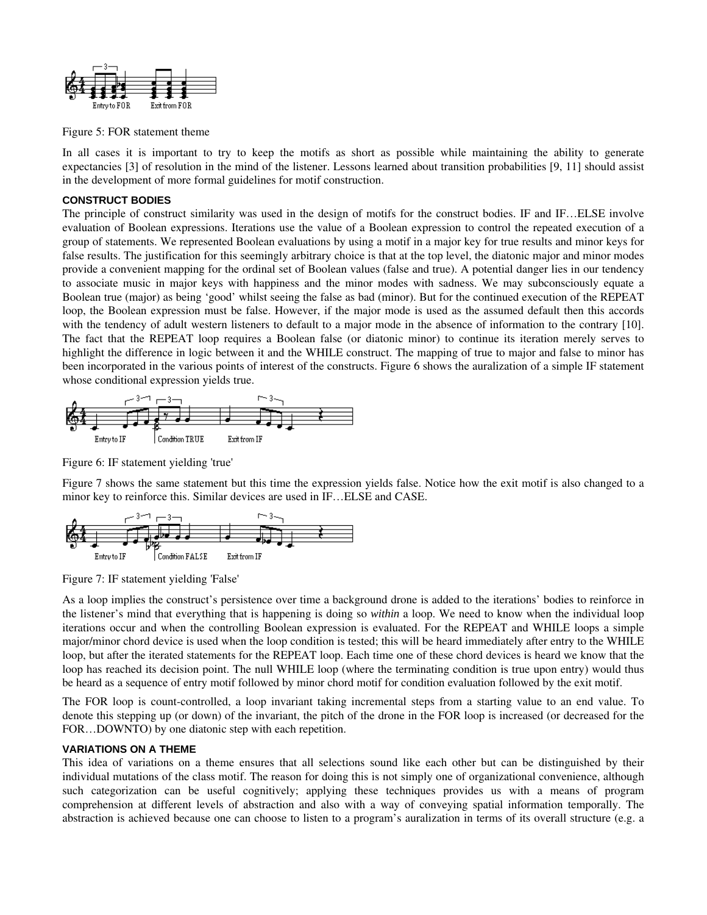

Figure 5: FOR statement theme

In all cases it is important to try to keep the motifs as short as possible while maintaining the ability to generate expectancies [3] of resolution in the mind of the listener. Lessons learned about transition probabilities [9, 11] should assist in the development of more formal guidelines for motif construction.

#### **CONSTRUCT BODIES**

The principle of construct similarity was used in the design of motifs for the construct bodies. IF and IF…ELSE involve evaluation of Boolean expressions. Iterations use the value of a Boolean expression to control the repeated execution of a group of statements. We represented Boolean evaluations by using a motif in a major key for true results and minor keys for false results. The justification for this seemingly arbitrary choice is that at the top level, the diatonic major and minor modes provide a convenient mapping for the ordinal set of Boolean values (false and true). A potential danger lies in our tendency to associate music in major keys with happiness and the minor modes with sadness. We may subconsciously equate a Boolean true (major) as being 'good' whilst seeing the false as bad (minor). But for the continued execution of the REPEAT loop, the Boolean expression must be false. However, if the major mode is used as the assumed default then this accords with the tendency of adult western listeners to default to a major mode in the absence of information to the contrary [10]. The fact that the REPEAT loop requires a Boolean false (or diatonic minor) to continue its iteration merely serves to highlight the difference in logic between it and the WHILE construct. The mapping of true to major and false to minor has been incorporated in the various points of interest of the constructs. Figure 6 shows the auralization of a simple IF statement whose conditional expression yields true.



Figure 6: IF statement yielding 'true'

Figure 7 shows the same statement but this time the expression yields false. Notice how the exit motif is also changed to a minor key to reinforce this. Similar devices are used in IF…ELSE and CASE.



Figure 7: IF statement yielding 'False'

As a loop implies the construct's persistence over time a background drone is added to the iterations' bodies to reinforce in the listener's mind that everything that is happening is doing so *within* a loop. We need to know when the individual loop iterations occur and when the controlling Boolean expression is evaluated. For the REPEAT and WHILE loops a simple major/minor chord device is used when the loop condition is tested; this will be heard immediately after entry to the WHILE loop, but after the iterated statements for the REPEAT loop. Each time one of these chord devices is heard we know that the loop has reached its decision point. The null WHILE loop (where the terminating condition is true upon entry) would thus be heard as a sequence of entry motif followed by minor chord motif for condition evaluation followed by the exit motif.

The FOR loop is count-controlled, a loop invariant taking incremental steps from a starting value to an end value. To denote this stepping up (or down) of the invariant, the pitch of the drone in the FOR loop is increased (or decreased for the FOR…DOWNTO) by one diatonic step with each repetition.

#### **VARIATIONS ON A THEME**

This idea of variations on a theme ensures that all selections sound like each other but can be distinguished by their individual mutations of the class motif. The reason for doing this is not simply one of organizational convenience, although such categorization can be useful cognitively; applying these techniques provides us with a means of program comprehension at different levels of abstraction and also with a way of conveying spatial information temporally. The abstraction is achieved because one can choose to listen to a program's auralization in terms of its overall structure (e.g. a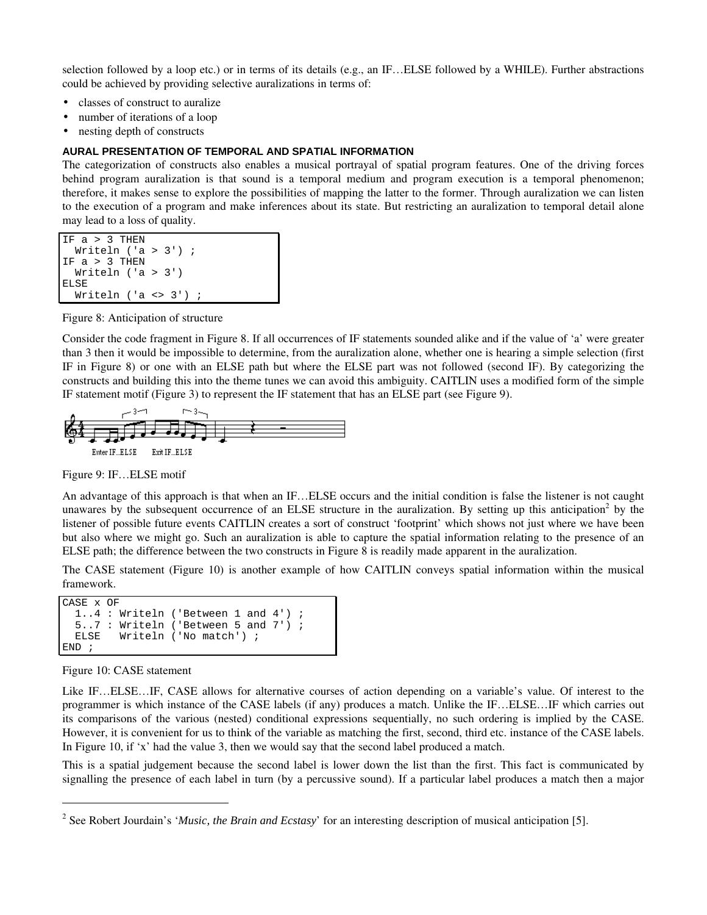selection followed by a loop etc.) or in terms of its details (e.g., an IF…ELSE followed by a WHILE). Further abstractions could be achieved by providing selective auralizations in terms of:

- classes of construct to auralize
- number of iterations of a loop
- nesting depth of constructs

#### **AURAL PRESENTATION OF TEMPORAL AND SPATIAL INFORMATION**

The categorization of constructs also enables a musical portrayal of spatial program features. One of the driving forces behind program auralization is that sound is a temporal medium and program execution is a temporal phenomenon; therefore, it makes sense to explore the possibilities of mapping the latter to the former. Through auralization we can listen to the execution of a program and make inferences about its state. But restricting an auralization to temporal detail alone may lead to a loss of quality.

```
IF a > 3 THEN
  Writeln ('a > 3') ;
IF a > 3 THEN
   Writeln ('a > 3')
ELSE
  Writeln ('a \leq 3') ;
```
Figure 8: Anticipation of structure

Consider the code fragment in Figure 8. If all occurrences of IF statements sounded alike and if the value of 'a' were greater than 3 then it would be impossible to determine, from the auralization alone, whether one is hearing a simple selection (first IF in Figure 8) or one with an ELSE path but where the ELSE part was not followed (second IF). By categorizing the constructs and building this into the theme tunes we can avoid this ambiguity. CAITLIN uses a modified form of the simple IF statement motif (Figure 3) to represent the IF statement that has an ELSE part (see Figure 9).



Figure 9: IF…ELSE motif

An advantage of this approach is that when an IF…ELSE occurs and the initial condition is false the listener is not caught unawares by the subsequent occurrence of an ELSE structure in the auralization. By setting up this anticipation<sup>2</sup> by the listener of possible future events CAITLIN creates a sort of construct 'footprint' which shows not just where we have been but also where we might go. Such an auralization is able to capture the spatial information relating to the presence of an ELSE path; the difference between the two constructs in Figure 8 is readily made apparent in the auralization.

The CASE statement (Figure 10) is another example of how CAITLIN conveys spatial information within the musical framework.

```
CASE x OF
   1..4 : Writeln ('Between 1 and 4') ;
   5..7 : Writeln ('Between 5 and 7') ;
   ELSE Writeln ('No match') ;
END ;
```
Figure 10: CASE statement

 $\overline{a}$ 

Like IF…ELSE…IF, CASE allows for alternative courses of action depending on a variable's value. Of interest to the programmer is which instance of the CASE labels (if any) produces a match. Unlike the IF…ELSE…IF which carries out its comparisons of the various (nested) conditional expressions sequentially, no such ordering is implied by the CASE. However, it is convenient for us to think of the variable as matching the first, second, third etc. instance of the CASE labels. In Figure 10, if 'x' had the value 3, then we would say that the second label produced a match.

This is a spatial judgement because the second label is lower down the list than the first. This fact is communicated by signalling the presence of each label in turn (by a percussive sound). If a particular label produces a match then a major

<sup>&</sup>lt;sup>2</sup> See Robert Jourdain's '*Music, the Brain and Ecstasy*' for an interesting description of musical anticipation [5].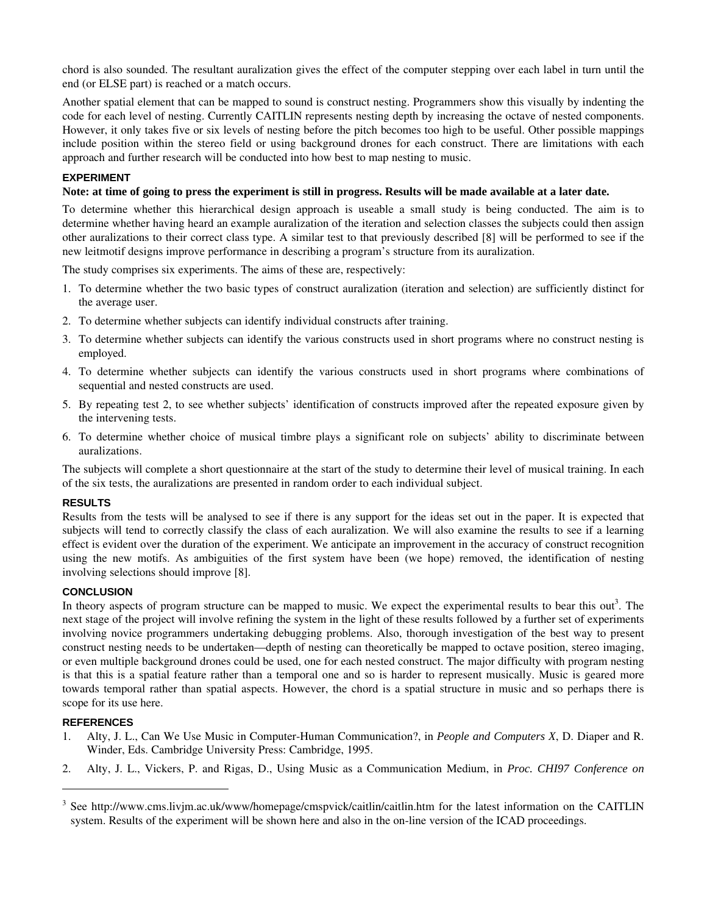chord is also sounded. The resultant auralization gives the effect of the computer stepping over each label in turn until the end (or ELSE part) is reached or a match occurs.

Another spatial element that can be mapped to sound is construct nesting. Programmers show this visually by indenting the code for each level of nesting. Currently CAITLIN represents nesting depth by increasing the octave of nested components. However, it only takes five or six levels of nesting before the pitch becomes too high to be useful. Other possible mappings include position within the stereo field or using background drones for each construct. There are limitations with each approach and further research will be conducted into how best to map nesting to music.

# **EXPERIMENT**

# **Note: at time of going to press the experiment is still in progress. Results will be made available at a later date.**

To determine whether this hierarchical design approach is useable a small study is being conducted. The aim is to determine whether having heard an example auralization of the iteration and selection classes the subjects could then assign other auralizations to their correct class type. A similar test to that previously described [8] will be performed to see if the new leitmotif designs improve performance in describing a program's structure from its auralization.

The study comprises six experiments. The aims of these are, respectively:

- 1. To determine whether the two basic types of construct auralization (iteration and selection) are sufficiently distinct for the average user.
- 2. To determine whether subjects can identify individual constructs after training.
- 3. To determine whether subjects can identify the various constructs used in short programs where no construct nesting is employed.
- 4. To determine whether subjects can identify the various constructs used in short programs where combinations of sequential and nested constructs are used.
- 5. By repeating test 2, to see whether subjects' identification of constructs improved after the repeated exposure given by the intervening tests.
- 6. To determine whether choice of musical timbre plays a significant role on subjects' ability to discriminate between auralizations.

The subjects will complete a short questionnaire at the start of the study to determine their level of musical training. In each of the six tests, the auralizations are presented in random order to each individual subject.

#### **RESULTS**

Results from the tests will be analysed to see if there is any support for the ideas set out in the paper. It is expected that subjects will tend to correctly classify the class of each auralization. We will also examine the results to see if a learning effect is evident over the duration of the experiment. We anticipate an improvement in the accuracy of construct recognition using the new motifs. As ambiguities of the first system have been (we hope) removed, the identification of nesting involving selections should improve [8].

# **CONCLUSION**

In theory aspects of program structure can be mapped to music. We expect the experimental results to bear this out<sup>3</sup>. The next stage of the project will involve refining the system in the light of these results followed by a further set of experiments involving novice programmers undertaking debugging problems. Also, thorough investigation of the best way to present construct nesting needs to be undertaken—depth of nesting can theoretically be mapped to octave position, stereo imaging, or even multiple background drones could be used, one for each nested construct. The major difficulty with program nesting is that this is a spatial feature rather than a temporal one and so is harder to represent musically. Music is geared more towards temporal rather than spatial aspects. However, the chord is a spatial structure in music and so perhaps there is scope for its use here.

#### **REFERENCES**

-

- 1. Alty, J. L., Can We Use Music in Computer-Human Communication?, in *People and Computers X*, D. Diaper and R. Winder, Eds. Cambridge University Press: Cambridge, 1995.
- 2. Alty, J. L., Vickers, P. and Rigas, D., Using Music as a Communication Medium, in *Proc. CHI97 Conference on*

<sup>&</sup>lt;sup>3</sup> See http://www.cms.livjm.ac.uk/www/homepage/cmspvick/caitlin/caitlin.htm for the latest information on the CAITLIN system. Results of the experiment will be shown here and also in the on-line version of the ICAD proceedings.